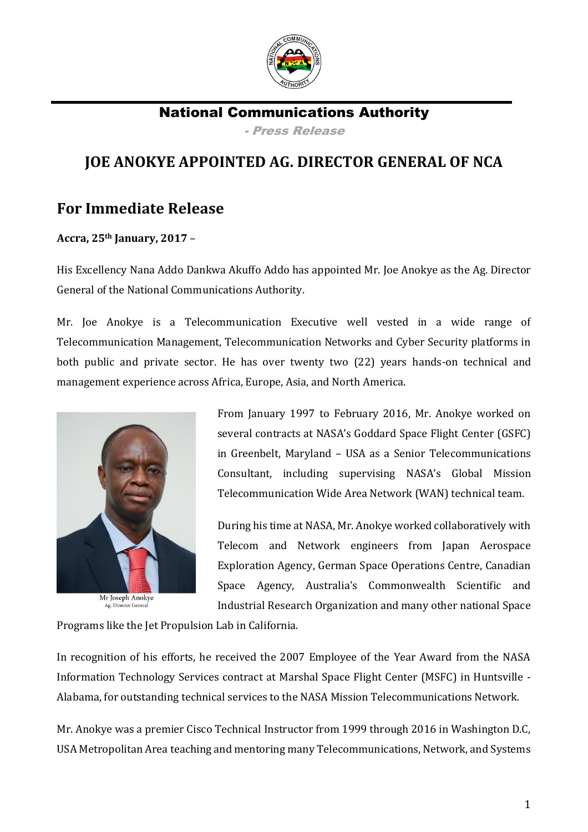

National Communications Authority - Press Release

## **JOE ANOKYE APPOINTED AG. DIRECTOR GENERAL OF NCA**

## **For Immediate Release**

**Accra, 25th January, 2017** –

His Excellency Nana Addo Dankwa Akuffo Addo has appointed Mr. Joe Anokye as the Ag. Director General of the National Communications Authority.

Mr. Joe Anokye is a Telecommunication Executive well vested in a wide range of Telecommunication Management, Telecommunication Networks and Cyber Security platforms in both public and private sector. He has over twenty two (22) years hands-on technical and management experience across Africa, Europe, Asia, and North America.



From January 1997 to February 2016, Mr. Anokye worked on several contracts at NASA's Goddard Space Flight Center (GSFC) in Greenbelt, Maryland – USA as a Senior Telecommunications Consultant, including supervising NASA's Global Mission Telecommunication Wide Area Network (WAN) technical team.

During his time at NASA, Mr. Anokye worked collaboratively with Telecom and Network engineers from Japan Aerospace Exploration Agency, German Space Operations Centre, Canadian Space Agency, Australia's Commonwealth Scientific and Industrial Research Organization and many other national Space

Programs like the Jet Propulsion Lab in California.

In recognition of his efforts, he received the 2007 Employee of the Year Award from the NASA Information Technology Services contract at Marshal Space Flight Center (MSFC) in Huntsville - Alabama, for outstanding technical services to the NASA Mission Telecommunications Network.

Mr. Anokye was a premier Cisco Technical Instructor from 1999 through 2016 in Washington D.C, USA Metropolitan Area teaching and mentoring many Telecommunications, Network, and Systems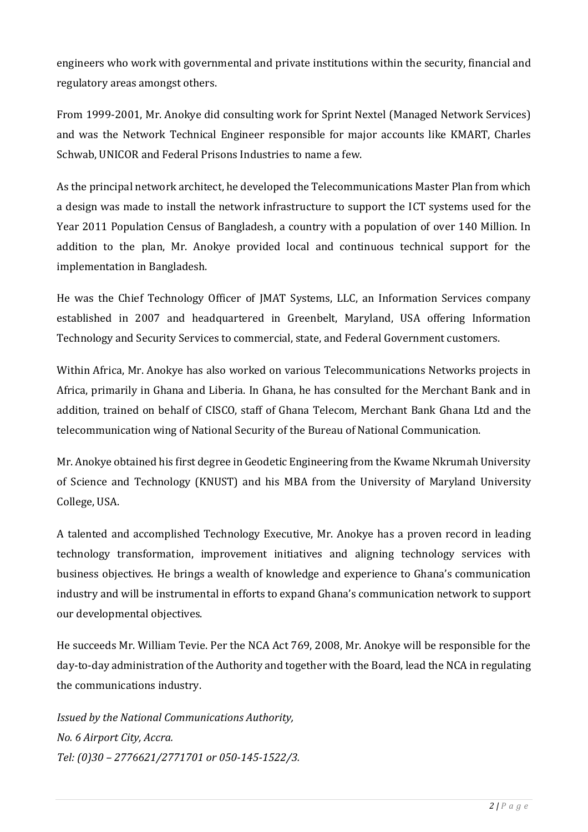engineers who work with governmental and private institutions within the security, financial and regulatory areas amongst others.

From 1999-2001, Mr. Anokye did consulting work for Sprint Nextel (Managed Network Services) and was the Network Technical Engineer responsible for major accounts like KMART, Charles Schwab, UNICOR and Federal Prisons Industries to name a few.

As the principal network architect, he developed the Telecommunications Master Plan from which a design was made to install the network infrastructure to support the ICT systems used for the Year 2011 Population Census of Bangladesh, a country with a population of over 140 Million. In addition to the plan, Mr. Anokye provided local and continuous technical support for the implementation in Bangladesh.

He was the Chief Technology Officer of JMAT Systems, LLC, an Information Services company established in 2007 and headquartered in Greenbelt, Maryland, USA offering Information Technology and Security Services to commercial, state, and Federal Government customers.

Within Africa, Mr. Anokye has also worked on various Telecommunications Networks projects in Africa, primarily in Ghana and Liberia. In Ghana, he has consulted for the Merchant Bank and in addition, trained on behalf of CISCO, staff of Ghana Telecom, Merchant Bank Ghana Ltd and the telecommunication wing of National Security of the Bureau of National Communication.

Mr. Anokye obtained his first degree in Geodetic Engineering from the Kwame Nkrumah University of Science and Technology (KNUST) and his MBA from the University of Maryland University College, USA.

A talented and accomplished Technology Executive, Mr. Anokye has a proven record in leading technology transformation, improvement initiatives and aligning technology services with business objectives. He brings a wealth of knowledge and experience to Ghana's communication industry and will be instrumental in efforts to expand Ghana's communication network to support our developmental objectives.

He succeeds Mr. William Tevie. Per the NCA Act 769, 2008, Mr. Anokye will be responsible for the day-to-day administration of the Authority and together with the Board, lead the NCA in regulating the communications industry.

*Issued by the National Communications Authority, No. 6 Airport City, Accra. Tel: (0)30 – 2776621/2771701 or 050-145-1522/3.*